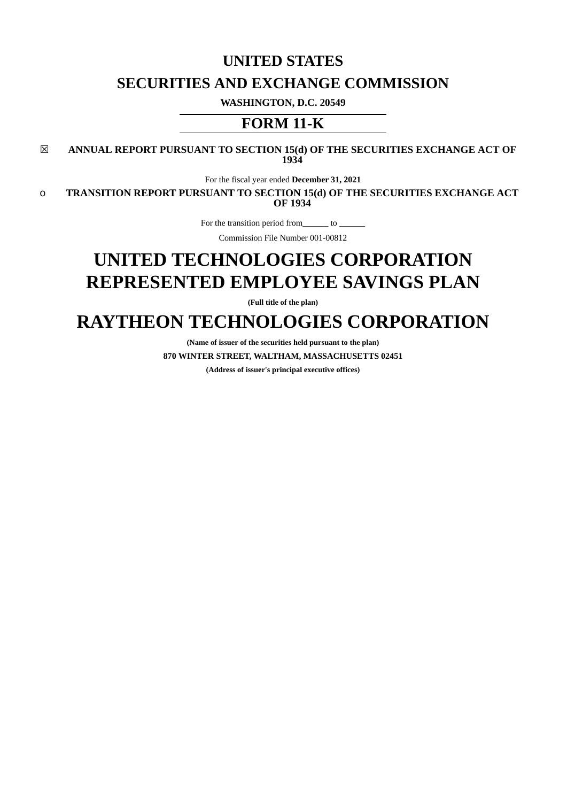## **UNITED STATES**

# **SECURITIES AND EXCHANGE COMMISSION**

**WASHINGTON, D.C. 20549**

# **FORM 11-K**

☒ **ANNUAL REPORT PURSUANT TO SECTION 15(d) OF THE SECURITIES EXCHANGE ACT OF 1934**

For the fiscal year ended **December 31, 2021**

o **TRANSITION REPORT PURSUANT TO SECTION 15(d) OF THE SECURITIES EXCHANGE ACT OF 1934**

For the transition period from\_\_\_\_\_\_\_ to \_

Commission File Number 001-00812

# **UNITED TECHNOLOGIES CORPORATION REPRESENTED EMPLOYEE SAVINGS PLAN**

**(Full title of the plan)**

# **RAYTHEON TECHNOLOGIES CORPORATION**

**(Name of issuer of the securities held pursuant to the plan) 870 WINTER STREET, WALTHAM, MASSACHUSETTS 02451**

**(Address of issuer's principal executive offices)**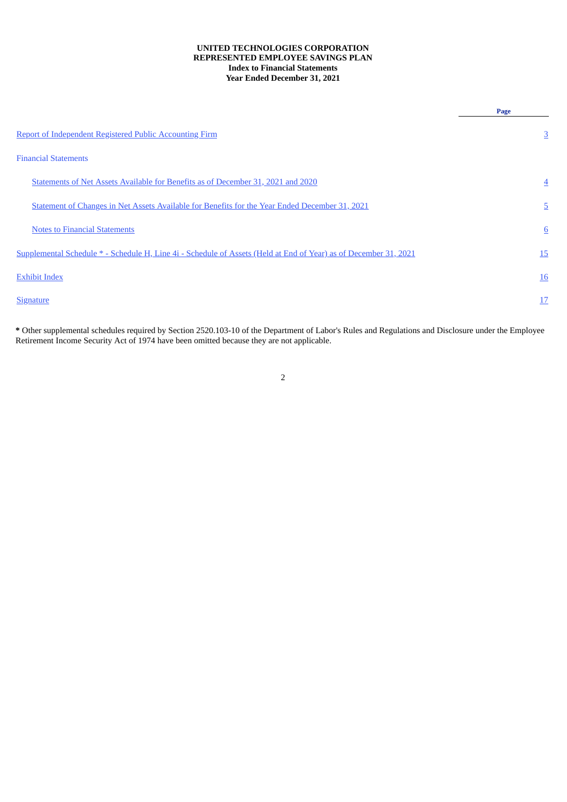### **UNITED TECHNOLOGIES CORPORATION REPRESENTED EMPLOYEE SAVINGS PLAN Index to Financial Statements Year Ended December 31, 2021**

|                                                                                                                  | Page            |
|------------------------------------------------------------------------------------------------------------------|-----------------|
| <b>Report of Independent Registered Public Accounting Firm</b>                                                   | $\overline{3}$  |
| <b>Financial Statements</b>                                                                                      |                 |
| Statements of Net Assets Available for Benefits as of December 31, 2021 and 2020                                 | $\overline{4}$  |
| Statement of Changes in Net Assets Available for Benefits for the Year Ended December 31, 2021                   | $\overline{5}$  |
| <b>Notes to Financial Statements</b>                                                                             | $6\overline{6}$ |
| Supplemental Schedule * - Schedule H, Line 4i - Schedule of Assets (Held at End of Year) as of December 31, 2021 | 15              |
| <b>Exhibit Index</b>                                                                                             | <u>16</u>       |
| <b>Signature</b>                                                                                                 | 17              |
|                                                                                                                  |                 |

<span id="page-1-0"></span>**\*** Other supplemental schedules required by Section 2520.103-10 of the Department of Labor's Rules and Regulations and Disclosure under the Employee Retirement Income Security Act of 1974 have been omitted because they are not applicable.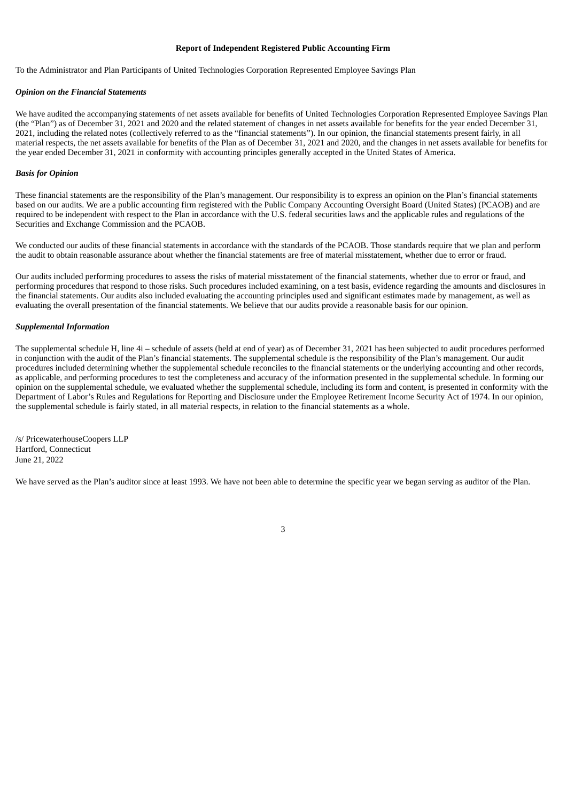### **Report of Independent Registered Public Accounting Firm**

To the Administrator and Plan Participants of United Technologies Corporation Represented Employee Savings Plan

#### *Opinion on the Financial Statements*

We have audited the accompanying statements of net assets available for benefits of United Technologies Corporation Represented Employee Savings Plan (the "Plan") as of December 31, 2021 and 2020 and the related statement of changes in net assets available for benefits for the year ended December 31, 2021, including the related notes (collectively referred to as the "financial statements"). In our opinion, the financial statements present fairly, in all material respects, the net assets available for benefits of the Plan as of December 31, 2021 and 2020, and the changes in net assets available for benefits for the year ended December 31, 2021 in conformity with accounting principles generally accepted in the United States of America.

#### *Basis for Opinion*

These financial statements are the responsibility of the Plan's management. Our responsibility is to express an opinion on the Plan's financial statements based on our audits. We are a public accounting firm registered with the Public Company Accounting Oversight Board (United States) (PCAOB) and are required to be independent with respect to the Plan in accordance with the U.S. federal securities laws and the applicable rules and regulations of the Securities and Exchange Commission and the PCAOB.

We conducted our audits of these financial statements in accordance with the standards of the PCAOB. Those standards require that we plan and perform the audit to obtain reasonable assurance about whether the financial statements are free of material misstatement, whether due to error or fraud.

Our audits included performing procedures to assess the risks of material misstatement of the financial statements, whether due to error or fraud, and performing procedures that respond to those risks. Such procedures included examining, on a test basis, evidence regarding the amounts and disclosures in the financial statements. Our audits also included evaluating the accounting principles used and significant estimates made by management, as well as evaluating the overall presentation of the financial statements. We believe that our audits provide a reasonable basis for our opinion.

#### *Supplemental Information*

The supplemental schedule H, line 4i – schedule of assets (held at end of year) as of December 31, 2021 has been subjected to audit procedures performed in conjunction with the audit of the Plan's financial statements. The supplemental schedule is the responsibility of the Plan's management. Our audit procedures included determining whether the supplemental schedule reconciles to the financial statements or the underlying accounting and other records, as applicable, and performing procedures to test the completeness and accuracy of the information presented in the supplemental schedule. In forming our opinion on the supplemental schedule, we evaluated whether the supplemental schedule, including its form and content, is presented in conformity with the Department of Labor's Rules and Regulations for Reporting and Disclosure under the Employee Retirement Income Security Act of 1974. In our opinion, the supplemental schedule is fairly stated, in all material respects, in relation to the financial statements as a whole.

/s/ PricewaterhouseCoopers LLP Hartford, Connecticut June 21, 2022

<span id="page-2-0"></span>We have served as the Plan's auditor since at least 1993. We have not been able to determine the specific year we began serving as auditor of the Plan.

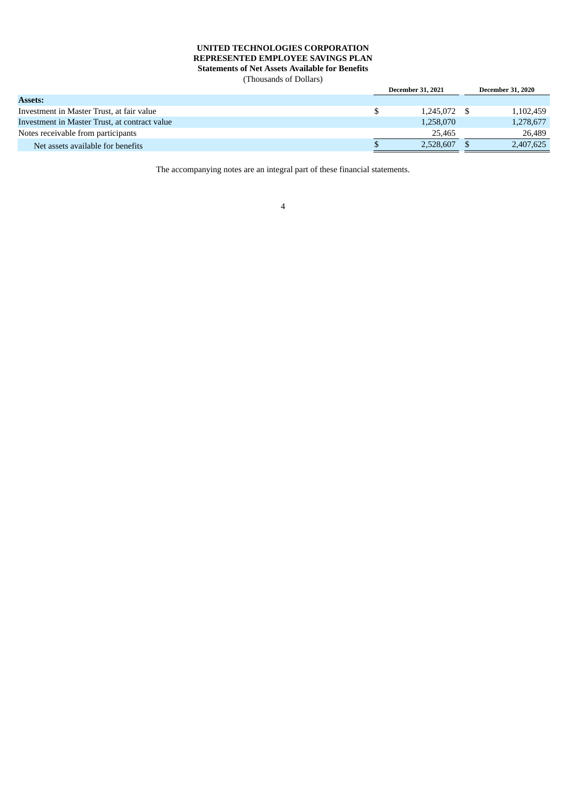### **UNITED TECHNOLOGIES CORPORATION REPRESENTED EMPLOYEE SAVINGS PLAN Statements of Net Assets Available for Benefits** (Thousands of Dollars)

<span id="page-3-0"></span>

|                                               | <b>December 31, 2021</b> | <b>December 31, 2020</b> |
|-----------------------------------------------|--------------------------|--------------------------|
| <b>Assets:</b>                                |                          |                          |
| Investment in Master Trust, at fair value     | 1.245.072 \$             | 1,102,459                |
| Investment in Master Trust, at contract value | 1,258,070                | 1,278,677                |
| Notes receivable from participants            | 25.465                   | 26,489                   |
| Net assets available for benefits             | 2,528,607                | 2,407,625                |

The accompanying notes are an integral part of these financial statements.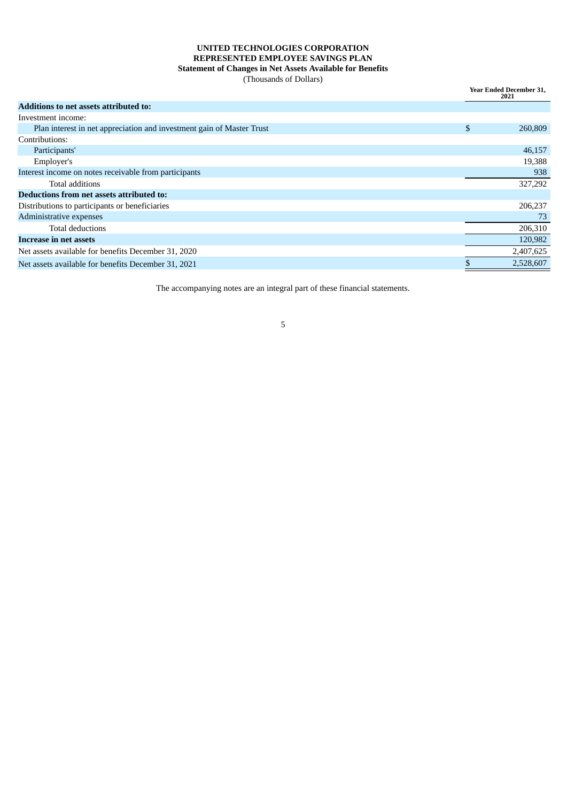### **UNITED TECHNOLOGIES CORPORATION REPRESENTED EMPLOYEE SAVINGS PLAN Statement of Changes in Net Assets Available for Benefits**

(Thousands of Dollars)

**Year Ended December 31,**

|                                                                       | 2021          |
|-----------------------------------------------------------------------|---------------|
| Additions to net assets attributed to:                                |               |
| Investment income:                                                    |               |
| Plan interest in net appreciation and investment gain of Master Trust | \$<br>260,809 |
| Contributions:                                                        |               |
| Participants'                                                         | 46,157        |
| Employer's                                                            | 19,388        |
| Interest income on notes receivable from participants                 | 938           |
| Total additions                                                       | 327,292       |
| Deductions from net assets attributed to:                             |               |
| Distributions to participants or beneficiaries                        | 206,237       |
| Administrative expenses                                               | -73           |
| Total deductions                                                      | 206,310       |
| <b>Increase in net assets</b>                                         | 120,982       |
| Net assets available for benefits December 31, 2020                   | 2,407,625     |
| Net assets available for benefits December 31, 2021                   | 2,528,607     |

<span id="page-4-0"></span>The accompanying notes are an integral part of these financial statements.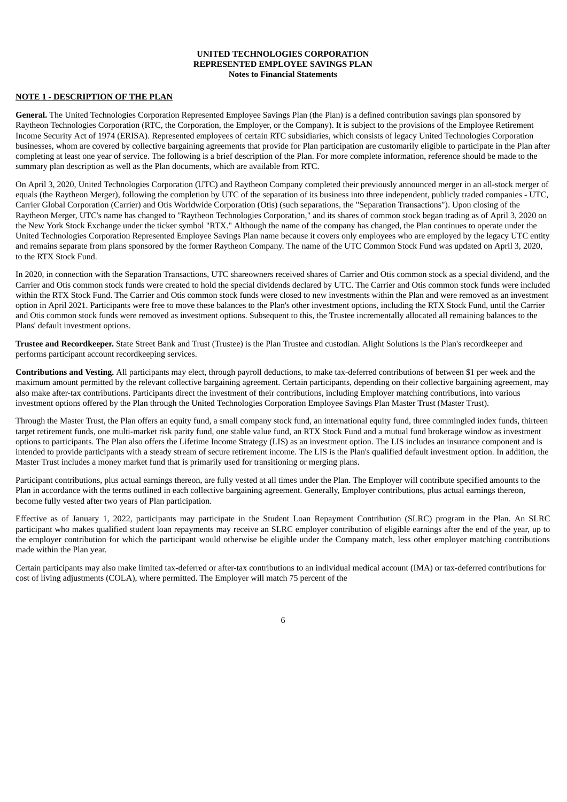### **UNITED TECHNOLOGIES CORPORATION REPRESENTED EMPLOYEE SAVINGS PLAN Notes to Financial Statements**

### **NOTE 1 - DESCRIPTION OF THE PLAN**

**General.** The United Technologies Corporation Represented Employee Savings Plan (the Plan) is a defined contribution savings plan sponsored by Raytheon Technologies Corporation (RTC, the Corporation, the Employer, or the Company). It is subject to the provisions of the Employee Retirement Income Security Act of 1974 (ERISA). Represented employees of certain RTC subsidiaries, which consists of legacy United Technologies Corporation businesses, whom are covered by collective bargaining agreements that provide for Plan participation are customarily eligible to participate in the Plan after completing at least one year of service. The following is a brief description of the Plan. For more complete information, reference should be made to the summary plan description as well as the Plan documents, which are available from RTC.

On April 3, 2020, United Technologies Corporation (UTC) and Raytheon Company completed their previously announced merger in an all-stock merger of equals (the Raytheon Merger), following the completion by UTC of the separation of its business into three independent, publicly traded companies - UTC, Carrier Global Corporation (Carrier) and Otis Worldwide Corporation (Otis) (such separations, the "Separation Transactions"). Upon closing of the Raytheon Merger, UTC's name has changed to "Raytheon Technologies Corporation," and its shares of common stock began trading as of April 3, 2020 on the New York Stock Exchange under the ticker symbol "RTX." Although the name of the company has changed, the Plan continues to operate under the United Technologies Corporation Represented Employee Savings Plan name because it covers only employees who are employed by the legacy UTC entity and remains separate from plans sponsored by the former Raytheon Company. The name of the UTC Common Stock Fund was updated on April 3, 2020, to the RTX Stock Fund.

In 2020, in connection with the Separation Transactions, UTC shareowners received shares of Carrier and Otis common stock as a special dividend, and the Carrier and Otis common stock funds were created to hold the special dividends declared by UTC. The Carrier and Otis common stock funds were included within the RTX Stock Fund. The Carrier and Otis common stock funds were closed to new investments within the Plan and were removed as an investment option in April 2021. Participants were free to move these balances to the Plan's other investment options, including the RTX Stock Fund, until the Carrier and Otis common stock funds were removed as investment options. Subsequent to this, the Trustee incrementally allocated all remaining balances to the Plans' default investment options.

**Trustee and Recordkeeper.** State Street Bank and Trust (Trustee) is the Plan Trustee and custodian. Alight Solutions is the Plan's recordkeeper and performs participant account recordkeeping services.

**Contributions and Vesting.** All participants may elect, through payroll deductions, to make tax-deferred contributions of between \$1 per week and the maximum amount permitted by the relevant collective bargaining agreement. Certain participants, depending on their collective bargaining agreement, may also make after-tax contributions. Participants direct the investment of their contributions, including Employer matching contributions, into various investment options offered by the Plan through the United Technologies Corporation Employee Savings Plan Master Trust (Master Trust).

Through the Master Trust, the Plan offers an equity fund, a small company stock fund, an international equity fund, three commingled index funds, thirteen target retirement funds, one multi-market risk parity fund, one stable value fund, an RTX Stock Fund and a mutual fund brokerage window as investment options to participants. The Plan also offers the Lifetime Income Strategy (LIS) as an investment option. The LIS includes an insurance component and is intended to provide participants with a steady stream of secure retirement income. The LIS is the Plan's qualified default investment option. In addition, the Master Trust includes a money market fund that is primarily used for transitioning or merging plans.

Participant contributions, plus actual earnings thereon, are fully vested at all times under the Plan. The Employer will contribute specified amounts to the Plan in accordance with the terms outlined in each collective bargaining agreement. Generally, Employer contributions, plus actual earnings thereon, become fully vested after two years of Plan participation.

Effective as of January 1, 2022, participants may participate in the Student Loan Repayment Contribution (SLRC) program in the Plan. An SLRC participant who makes qualified student loan repayments may receive an SLRC employer contribution of eligible earnings after the end of the year, up to the employer contribution for which the participant would otherwise be eligible under the Company match, less other employer matching contributions made within the Plan year.

Certain participants may also make limited tax-deferred or after-tax contributions to an individual medical account (IMA) or tax-deferred contributions for cost of living adjustments (COLA), where permitted. The Employer will match 75 percent of the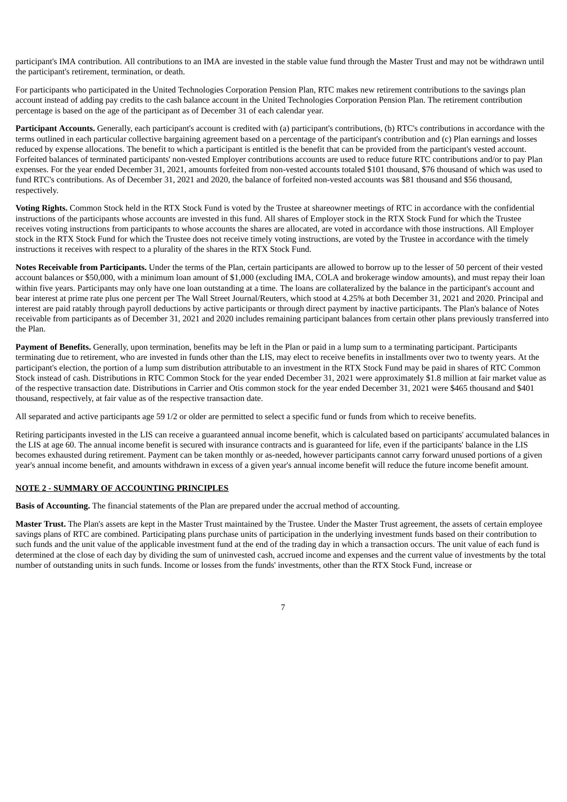participant's IMA contribution. All contributions to an IMA are invested in the stable value fund through the Master Trust and may not be withdrawn until the participant's retirement, termination, or death.

For participants who participated in the United Technologies Corporation Pension Plan, RTC makes new retirement contributions to the savings plan account instead of adding pay credits to the cash balance account in the United Technologies Corporation Pension Plan. The retirement contribution percentage is based on the age of the participant as of December 31 of each calendar year.

**Participant Accounts.** Generally, each participant's account is credited with (a) participant's contributions, (b) RTC's contributions in accordance with the terms outlined in each particular collective bargaining agreement based on a percentage of the participant's contribution and (c) Plan earnings and losses reduced by expense allocations. The benefit to which a participant is entitled is the benefit that can be provided from the participant's vested account. Forfeited balances of terminated participants' non-vested Employer contributions accounts are used to reduce future RTC contributions and/or to pay Plan expenses. For the year ended December 31, 2021, amounts forfeited from non-vested accounts totaled \$101 thousand, \$76 thousand of which was used to fund RTC's contributions. As of December 31, 2021 and 2020, the balance of forfeited non-vested accounts was \$81 thousand and \$56 thousand, respectively.

**Voting Rights.** Common Stock held in the RTX Stock Fund is voted by the Trustee at shareowner meetings of RTC in accordance with the confidential instructions of the participants whose accounts are invested in this fund. All shares of Employer stock in the RTX Stock Fund for which the Trustee receives voting instructions from participants to whose accounts the shares are allocated, are voted in accordance with those instructions. All Employer stock in the RTX Stock Fund for which the Trustee does not receive timely voting instructions, are voted by the Trustee in accordance with the timely instructions it receives with respect to a plurality of the shares in the RTX Stock Fund.

**Notes Receivable from Participants.** Under the terms of the Plan, certain participants are allowed to borrow up to the lesser of 50 percent of their vested account balances or \$50,000, with a minimum loan amount of \$1,000 (excluding IMA, COLA and brokerage window amounts), and must repay their loan within five years. Participants may only have one loan outstanding at a time. The loans are collateralized by the balance in the participant's account and bear interest at prime rate plus one percent per The Wall Street Journal/Reuters, which stood at 4.25% at both December 31, 2021 and 2020. Principal and interest are paid ratably through payroll deductions by active participants or through direct payment by inactive participants. The Plan's balance of Notes receivable from participants as of December 31, 2021 and 2020 includes remaining participant balances from certain other plans previously transferred into the Plan.

**Payment of Benefits.** Generally, upon termination, benefits may be left in the Plan or paid in a lump sum to a terminating participant. Participants terminating due to retirement, who are invested in funds other than the LIS, may elect to receive benefits in installments over two to twenty years. At the participant's election, the portion of a lump sum distribution attributable to an investment in the RTX Stock Fund may be paid in shares of RTC Common Stock instead of cash. Distributions in RTC Common Stock for the year ended December 31, 2021 were approximately \$1.8 million at fair market value as of the respective transaction date. Distributions in Carrier and Otis common stock for the year ended December 31, 2021 were \$465 thousand and \$401 thousand, respectively, at fair value as of the respective transaction date.

All separated and active participants age 59 1/2 or older are permitted to select a specific fund or funds from which to receive benefits.

Retiring participants invested in the LIS can receive a guaranteed annual income benefit, which is calculated based on participants' accumulated balances in the LIS at age 60. The annual income benefit is secured with insurance contracts and is guaranteed for life, even if the participants' balance in the LIS becomes exhausted during retirement. Payment can be taken monthly or as-needed, however participants cannot carry forward unused portions of a given year's annual income benefit, and amounts withdrawn in excess of a given year's annual income benefit will reduce the future income benefit amount.

### **NOTE 2 - SUMMARY OF ACCOUNTING PRINCIPLES**

**Basis of Accounting.** The financial statements of the Plan are prepared under the accrual method of accounting.

**Master Trust.** The Plan's assets are kept in the Master Trust maintained by the Trustee. Under the Master Trust agreement, the assets of certain employee savings plans of RTC are combined. Participating plans purchase units of participation in the underlying investment funds based on their contribution to such funds and the unit value of the applicable investment fund at the end of the trading day in which a transaction occurs. The unit value of each fund is determined at the close of each day by dividing the sum of uninvested cash, accrued income and expenses and the current value of investments by the total number of outstanding units in such funds. Income or losses from the funds' investments, other than the RTX Stock Fund, increase or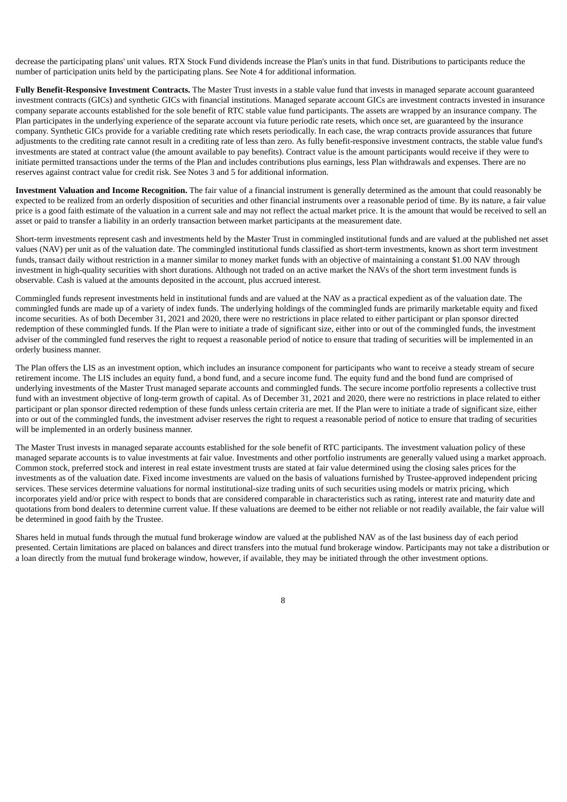decrease the participating plans' unit values. RTX Stock Fund dividends increase the Plan's units in that fund. Distributions to participants reduce the number of participation units held by the participating plans. See Note 4 for additional information.

**Fully Benefit-Responsive Investment Contracts.** The Master Trust invests in a stable value fund that invests in managed separate account guaranteed investment contracts (GICs) and synthetic GICs with financial institutions. Managed separate account GICs are investment contracts invested in insurance company separate accounts established for the sole benefit of RTC stable value fund participants. The assets are wrapped by an insurance company. The Plan participates in the underlying experience of the separate account via future periodic rate resets, which once set, are guaranteed by the insurance company. Synthetic GICs provide for a variable crediting rate which resets periodically. In each case, the wrap contracts provide assurances that future adjustments to the crediting rate cannot result in a crediting rate of less than zero. As fully benefit-responsive investment contracts, the stable value fund's investments are stated at contract value (the amount available to pay benefits). Contract value is the amount participants would receive if they were to initiate permitted transactions under the terms of the Plan and includes contributions plus earnings, less Plan withdrawals and expenses. There are no reserves against contract value for credit risk. See Notes 3 and 5 for additional information.

**Investment Valuation and Income Recognition.** The fair value of a financial instrument is generally determined as the amount that could reasonably be expected to be realized from an orderly disposition of securities and other financial instruments over a reasonable period of time. By its nature, a fair value price is a good faith estimate of the valuation in a current sale and may not reflect the actual market price. It is the amount that would be received to sell an asset or paid to transfer a liability in an orderly transaction between market participants at the measurement date.

Short-term investments represent cash and investments held by the Master Trust in commingled institutional funds and are valued at the published net asset values (NAV) per unit as of the valuation date. The commingled institutional funds classified as short-term investments, known as short term investment funds, transact daily without restriction in a manner similar to money market funds with an objective of maintaining a constant \$1.00 NAV through investment in high-quality securities with short durations. Although not traded on an active market the NAVs of the short term investment funds is observable. Cash is valued at the amounts deposited in the account, plus accrued interest.

Commingled funds represent investments held in institutional funds and are valued at the NAV as a practical expedient as of the valuation date. The commingled funds are made up of a variety of index funds. The underlying holdings of the commingled funds are primarily marketable equity and fixed income securities. As of both December 31, 2021 and 2020, there were no restrictions in place related to either participant or plan sponsor directed redemption of these commingled funds. If the Plan were to initiate a trade of significant size, either into or out of the commingled funds, the investment adviser of the commingled fund reserves the right to request a reasonable period of notice to ensure that trading of securities will be implemented in an orderly business manner.

The Plan offers the LIS as an investment option, which includes an insurance component for participants who want to receive a steady stream of secure retirement income. The LIS includes an equity fund, a bond fund, and a secure income fund. The equity fund and the bond fund are comprised of underlying investments of the Master Trust managed separate accounts and commingled funds. The secure income portfolio represents a collective trust fund with an investment objective of long-term growth of capital. As of December 31, 2021 and 2020, there were no restrictions in place related to either participant or plan sponsor directed redemption of these funds unless certain criteria are met. If the Plan were to initiate a trade of significant size, either into or out of the commingled funds, the investment adviser reserves the right to request a reasonable period of notice to ensure that trading of securities will be implemented in an orderly business manner.

The Master Trust invests in managed separate accounts established for the sole benefit of RTC participants. The investment valuation policy of these managed separate accounts is to value investments at fair value. Investments and other portfolio instruments are generally valued using a market approach. Common stock, preferred stock and interest in real estate investment trusts are stated at fair value determined using the closing sales prices for the investments as of the valuation date. Fixed income investments are valued on the basis of valuations furnished by Trustee-approved independent pricing services. These services determine valuations for normal institutional-size trading units of such securities using models or matrix pricing, which incorporates yield and/or price with respect to bonds that are considered comparable in characteristics such as rating, interest rate and maturity date and quotations from bond dealers to determine current value. If these valuations are deemed to be either not reliable or not readily available, the fair value will be determined in good faith by the Trustee.

Shares held in mutual funds through the mutual fund brokerage window are valued at the published NAV as of the last business day of each period presented. Certain limitations are placed on balances and direct transfers into the mutual fund brokerage window. Participants may not take a distribution or a loan directly from the mutual fund brokerage window, however, if available, they may be initiated through the other investment options.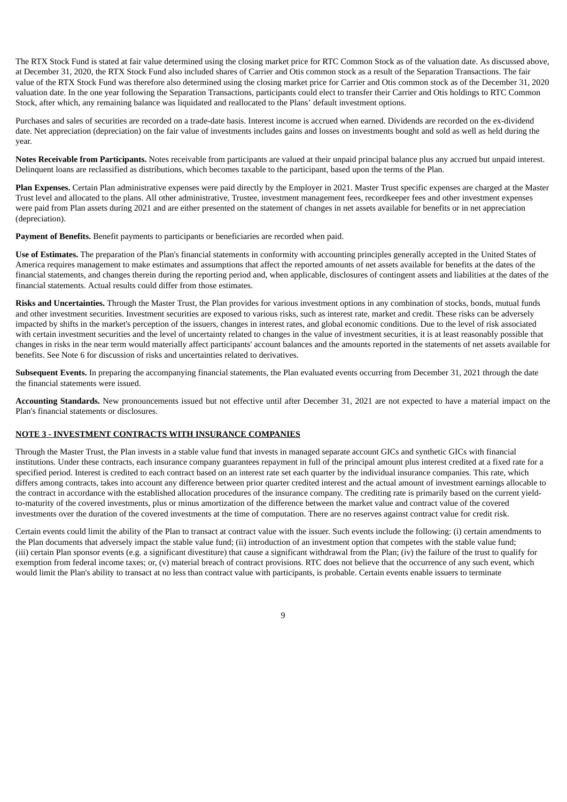The RTX Stock Fund is stated at fair value determined using the closing market price for RTC Common Stock as of the valuation date. As discussed above, at December 31, 2020, the RTX Stock Fund also included shares of Carrier and Otis common stock as a result of the Separation Transactions. The fair value of the RTX Stock Fund was therefore also determined using the closing market price for Carrier and Otis common stock as of the December 31, 2020 valuation date. In the one year following the Separation Transactions, participants could elect to transfer their Carrier and Otis holdings to RTC Common Stock, after which, any remaining balance was liquidated and reallocated to the Plans' default investment options.

Purchases and sales of securities are recorded on a trade-date basis. Interest income is accrued when earned. Dividends are recorded on the ex-dividend date. Net appreciation (depreciation) on the fair value of investments includes gains and losses on investments bought and sold as well as held during the year.

**Notes Receivable from Participants.** Notes receivable from participants are valued at their unpaid principal balance plus any accrued but unpaid interest. Delinquent loans are reclassified as distributions, which becomes taxable to the participant, based upon the terms of the Plan.

**Plan Expenses.** Certain Plan administrative expenses were paid directly by the Employer in 2021. Master Trust specific expenses are charged at the Master Trust level and allocated to the plans. All other administrative, Trustee, investment management fees, recordkeeper fees and other investment expenses were paid from Plan assets during 2021 and are either presented on the statement of changes in net assets available for benefits or in net appreciation (depreciation).

**Payment of Benefits.** Benefit payments to participants or beneficiaries are recorded when paid.

**Use of Estimates.** The preparation of the Plan's financial statements in conformity with accounting principles generally accepted in the United States of America requires management to make estimates and assumptions that affect the reported amounts of net assets available for benefits at the dates of the financial statements, and changes therein during the reporting period and, when applicable, disclosures of contingent assets and liabilities at the dates of the financial statements. Actual results could differ from those estimates.

**Risks and Uncertainties.** Through the Master Trust, the Plan provides for various investment options in any combination of stocks, bonds, mutual funds and other investment securities. Investment securities are exposed to various risks, such as interest rate, market and credit. These risks can be adversely impacted by shifts in the market's perception of the issuers, changes in interest rates, and global economic conditions. Due to the level of risk associated with certain investment securities and the level of uncertainty related to changes in the value of investment securities, it is at least reasonably possible that changes in risks in the near term would materially affect participants' account balances and the amounts reported in the statements of net assets available for benefits. See Note 6 for discussion of risks and uncertainties related to derivatives.

**Subsequent Events.** In preparing the accompanying financial statements, the Plan evaluated events occurring from December 31, 2021 through the date the financial statements were issued.

**Accounting Standards.** New pronouncements issued but not effective until after December 31, 2021 are not expected to have a material impact on the Plan's financial statements or disclosures.

### **NOTE 3 - INVESTMENT CONTRACTS WITH INSURANCE COMPANIES**

Through the Master Trust, the Plan invests in a stable value fund that invests in managed separate account GICs and synthetic GICs with financial institutions. Under these contracts, each insurance company guarantees repayment in full of the principal amount plus interest credited at a fixed rate for a specified period. Interest is credited to each contract based on an interest rate set each quarter by the individual insurance companies. This rate, which differs among contracts, takes into account any difference between prior quarter credited interest and the actual amount of investment earnings allocable to the contract in accordance with the established allocation procedures of the insurance company. The crediting rate is primarily based on the current yieldto-maturity of the covered investments, plus or minus amortization of the difference between the market value and contract value of the covered investments over the duration of the covered investments at the time of computation. There are no reserves against contract value for credit risk.

Certain events could limit the ability of the Plan to transact at contract value with the issuer. Such events include the following: (i) certain amendments to the Plan documents that adversely impact the stable value fund; (ii) introduction of an investment option that competes with the stable value fund; (iii) certain Plan sponsor events (e.g. a significant divestiture) that cause a significant withdrawal from the Plan; (iv) the failure of the trust to qualify for exemption from federal income taxes; or, (v) material breach of contract provisions. RTC does not believe that the occurrence of any such event, which would limit the Plan's ability to transact at no less than contract value with participants, is probable. Certain events enable issuers to terminate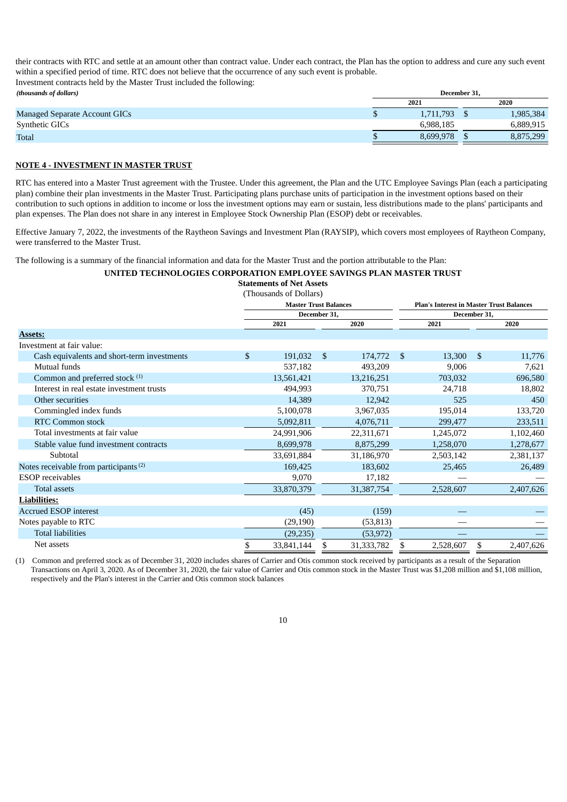their contracts with RTC and settle at an amount other than contract value. Under each contract, the Plan has the option to address and cure any such event within a specified period of time. RTC does not believe that the occurrence of any such event is probable.

Investment contracts held by the Master Trust included the following: *(thousands of dollars)* **December 31,**

|                                      | 2021 |           |  |           |  |
|--------------------------------------|------|-----------|--|-----------|--|
| <b>Managed Separate Account GICs</b> | لا   | 1.711.793 |  | 1,985,384 |  |
| <b>Synthetic GICs</b>                |      | 6.988.185 |  | 6.889.915 |  |
| <b>Total</b>                         | لا   | 8.699.978 |  | 8,875,299 |  |

### **NOTE 4 - INVESTMENT IN MASTER TRUST**

RTC has entered into a Master Trust agreement with the Trustee. Under this agreement, the Plan and the UTC Employee Savings Plan (each a participating plan) combine their plan investments in the Master Trust. Participating plans purchase units of participation in the investment options based on their contribution to such options in addition to income or loss the investment options may earn or sustain, less distributions made to the plans' participants and plan expenses. The Plan does not share in any interest in Employee Stock Ownership Plan (ESOP) debt or receivables.

Effective January 7, 2022, the investments of the Raytheon Savings and Investment Plan (RAYSIP), which covers most employees of Raytheon Company, were transferred to the Master Trust.

The following is a summary of the financial information and data for the Master Trust and the portion attributable to the Plan:

### **UNITED TECHNOLOGIES CORPORATION EMPLOYEE SAVINGS PLAN MASTER TRUST**

**Statements of Net Assets**

|                                                   |              | (Thousands of Dollars)       |    |            |                                                 |              |              |           |  |  |
|---------------------------------------------------|--------------|------------------------------|----|------------|-------------------------------------------------|--------------|--------------|-----------|--|--|
|                                                   |              | <b>Master Trust Balances</b> |    |            | <b>Plan's Interest in Master Trust Balances</b> |              |              |           |  |  |
|                                                   | December 31, |                              |    |            |                                                 | December 31, |              |           |  |  |
|                                                   |              | 2021                         |    | 2020       |                                                 | 2021         |              | 2020      |  |  |
| <b>Assets:</b>                                    |              |                              |    |            |                                                 |              |              |           |  |  |
| Investment at fair value:                         |              |                              |    |            |                                                 |              |              |           |  |  |
| Cash equivalents and short-term investments       | \$           | 191,032                      | \$ | 174,772    | \$                                              | 13,300       | $\mathbb{S}$ | 11,776    |  |  |
| Mutual funds                                      |              | 537,182                      |    | 493,209    |                                                 | 9,006        |              | 7,621     |  |  |
| Common and preferred stock (1)                    |              | 13,561,421                   |    | 13,216,251 |                                                 | 703,032      |              | 696,580   |  |  |
| Interest in real estate investment trusts         |              | 494,993                      |    | 370,751    |                                                 | 24,718       |              | 18,802    |  |  |
| Other securities                                  |              | 14,389                       |    | 12,942     |                                                 | 525          |              | 450       |  |  |
| Commingled index funds                            |              | 5,100,078                    |    | 3,967,035  |                                                 | 195,014      |              | 133,720   |  |  |
| <b>RTC Common stock</b>                           |              | 5,092,811                    |    | 4,076,711  |                                                 | 299,477      |              | 233,511   |  |  |
| Total investments at fair value                   |              | 24,991,906                   |    | 22,311,671 |                                                 | 1,245,072    |              | 1,102,460 |  |  |
| Stable value fund investment contracts            |              | 8,699,978                    |    | 8,875,299  |                                                 | 1,258,070    |              | 1,278,677 |  |  |
| Subtotal                                          |              | 33,691,884                   |    | 31,186,970 |                                                 | 2,503,142    |              | 2,381,137 |  |  |
| Notes receivable from participants <sup>(2)</sup> |              | 169,425                      |    | 183,602    |                                                 | 25,465       |              | 26,489    |  |  |
| <b>ESOP</b> receivables                           |              | 9,070                        |    | 17,182     |                                                 |              |              |           |  |  |
| Total assets                                      |              | 33,870,379                   |    | 31,387,754 |                                                 | 2,528,607    |              | 2,407,626 |  |  |
| <b>Liabilities:</b>                               |              |                              |    |            |                                                 |              |              |           |  |  |
| <b>Accrued ESOP interest</b>                      |              | (45)                         |    | (159)      |                                                 |              |              |           |  |  |
| Notes payable to RTC                              |              | (29, 190)                    |    | (53, 813)  |                                                 |              |              |           |  |  |
| <b>Total liabilities</b>                          |              | (29, 235)                    |    | (53, 972)  |                                                 |              |              |           |  |  |
| Net assets                                        |              | 33,841,144                   | S  | 31,333,782 | \$                                              | 2,528,607    | S            | 2,407,626 |  |  |

(1) Common and preferred stock as of December 31, 2020 includes shares of Carrier and Otis common stock received by participants as a result of the Separation Transactions on April 3, 2020. As of December 31, 2020, the fair value of Carrier and Otis common stock in the Master Trust was \$1,208 million and \$1,108 million, respectively and the Plan's interest in the Carrier and Otis common stock balances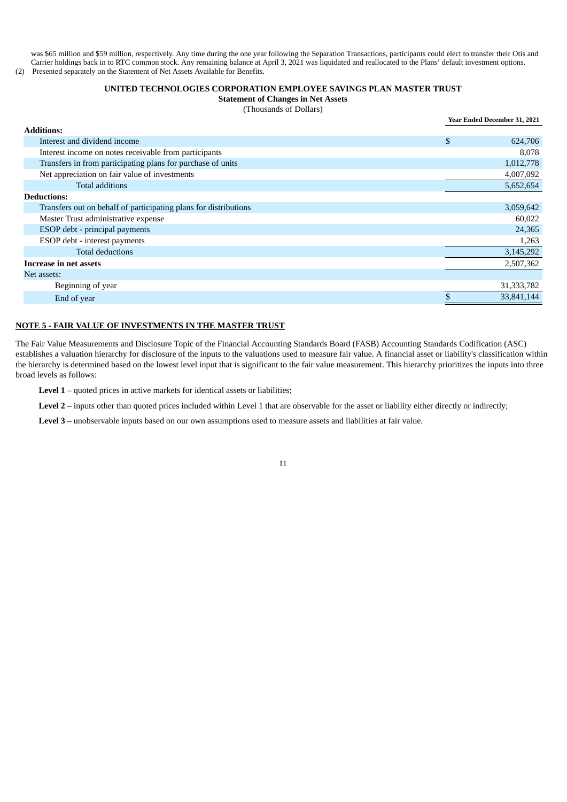was \$65 million and \$59 million, respectively. Any time during the one year following the Separation Transactions, participants could elect to transfer their Otis and Carrier holdings back in to RTC common stock. Any remaining balance at April 3, 2021 was liquidated and reallocated to the Plans' default investment options. (2) Presented separately on the Statement of Net Assets Available for Benefits.

### **UNITED TECHNOLOGIES CORPORATION EMPLOYEE SAVINGS PLAN MASTER TRUST**

**Statement of Changes in Net Assets**

| (Thousands of Dollars) |  |
|------------------------|--|
|------------------------|--|

**Year Ended December 31, 2021**

| <b>Additions:</b>                                                |               |
|------------------------------------------------------------------|---------------|
| Interest and dividend income                                     | \$<br>624,706 |
| Interest income on notes receivable from participants            | 8,078         |
| Transfers in from participating plans for purchase of units      | 1,012,778     |
| Net appreciation on fair value of investments                    | 4,007,092     |
| <b>Total additions</b>                                           | 5,652,654     |
| <b>Deductions:</b>                                               |               |
| Transfers out on behalf of participating plans for distributions | 3,059,642     |
| Master Trust administrative expense                              | 60,022        |
| ESOP debt - principal payments                                   | 24,365        |
| ESOP debt - interest payments                                    | 1,263         |
| <b>Total deductions</b>                                          | 3,145,292     |
| Increase in net assets                                           | 2,507,362     |
| Net assets:                                                      |               |
| Beginning of year                                                | 31, 333, 782  |
| End of year                                                      | 33,841,144    |

### **NOTE 5 - FAIR VALUE OF INVESTMENTS IN THE MASTER TRUST**

The Fair Value Measurements and Disclosure Topic of the Financial Accounting Standards Board (FASB) Accounting Standards Codification (ASC) establishes a valuation hierarchy for disclosure of the inputs to the valuations used to measure fair value. A financial asset or liability's classification within the hierarchy is determined based on the lowest level input that is significant to the fair value measurement. This hierarchy prioritizes the inputs into three broad levels as follows:

**Level 1** – quoted prices in active markets for identical assets or liabilities;

Level 2 – inputs other than quoted prices included within Level 1 that are observable for the asset or liability either directly or indirectly;

**Level 3** – unobservable inputs based on our own assumptions used to measure assets and liabilities at fair value.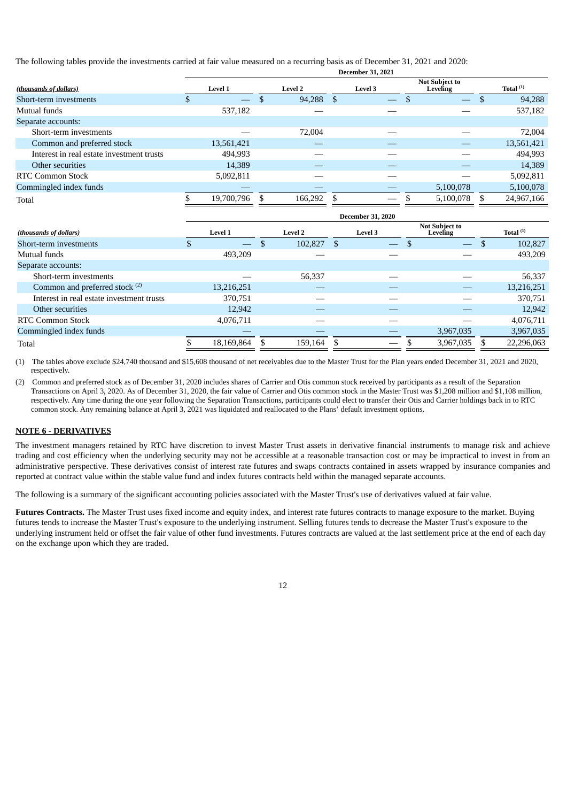The following tables provide the investments carried at fair value measured on a recurring basis as of December 31, 2021 and 2020:

|                                           | <b>December 31, 2021</b> |                |   |                |  |                                |  |                                          |    |             |  |
|-------------------------------------------|--------------------------|----------------|---|----------------|--|--------------------------------|--|------------------------------------------|----|-------------|--|
| (thousands of dollars)                    |                          | <b>Level 1</b> |   | <b>Level 2</b> |  | <b>Level 3</b>                 |  | <b>Not Subject to</b><br><b>Leveling</b> |    | Total $(1)$ |  |
| Short-term investments                    |                          |                | S | 94,288 \$      |  | $\overline{\phantom{m}}$       |  | $\qquad \qquad -$                        | .S | 94,288      |  |
| Mutual funds                              |                          | 537,182        |   |                |  |                                |  |                                          |    | 537,182     |  |
| Separate accounts:                        |                          |                |   |                |  |                                |  |                                          |    |             |  |
| Short-term investments                    |                          |                |   | 72,004         |  |                                |  |                                          |    | 72,004      |  |
| Common and preferred stock                |                          | 13,561,421     |   |                |  |                                |  |                                          |    | 13,561,421  |  |
| Interest in real estate investment trusts |                          | 494.993        |   |                |  |                                |  |                                          |    | 494,993     |  |
| Other securities                          |                          | 14.389         |   |                |  |                                |  |                                          |    | 14,389      |  |
| <b>RTC Common Stock</b>                   |                          | 5,092,811      |   |                |  |                                |  |                                          |    | 5,092,811   |  |
| Commingled index funds                    |                          |                |   |                |  |                                |  | 5,100,078                                |    | 5,100,078   |  |
| Total                                     |                          | 19,700,796     |   | 166,292        |  | $\overbrace{\hspace{25mm}}^{}$ |  | 5,100,078                                |    | 24,967,166  |  |

|                                           | Ptttiinti Jii 2020 |                |  |                |  |                          |  |                                   |  |             |
|-------------------------------------------|--------------------|----------------|--|----------------|--|--------------------------|--|-----------------------------------|--|-------------|
| (thousands of dollars)                    |                    | <b>Level 1</b> |  | <b>Level 2</b> |  | <b>Level 3</b>           |  | <b>Not Subject to</b><br>Leveling |  | Total $(1)$ |
| Short-term investments                    |                    |                |  | 102,827        |  | $\overline{\phantom{0}}$ |  |                                   |  | 102,827     |
| Mutual funds                              |                    | 493,209        |  |                |  |                          |  |                                   |  | 493,209     |
| Separate accounts:                        |                    |                |  |                |  |                          |  |                                   |  |             |
| Short-term investments                    |                    |                |  | 56,337         |  |                          |  |                                   |  | 56,337      |
| Common and preferred stock <sup>(2)</sup> |                    | 13,216,251     |  |                |  |                          |  |                                   |  | 13,216,251  |
| Interest in real estate investment trusts |                    | 370,751        |  |                |  |                          |  |                                   |  | 370,751     |
| Other securities                          |                    | 12,942         |  |                |  |                          |  |                                   |  | 12,942      |
| <b>RTC Common Stock</b>                   |                    | 4,076,711      |  |                |  |                          |  |                                   |  | 4,076,711   |
| Commingled index funds                    |                    |                |  |                |  |                          |  | 3,967,035                         |  | 3,967,035   |
| Total                                     |                    | 18,169,864     |  | 159,164        |  |                          |  | 3,967,035                         |  | 22,296,063  |
|                                           |                    |                |  |                |  |                          |  |                                   |  |             |

**December 31, 2020**

(1) The tables above exclude \$24,740 thousand and \$15,608 thousand of net receivables due to the Master Trust for the Plan years ended December 31, 2021 and 2020, respectively.

(2) Common and preferred stock as of December 31, 2020 includes shares of Carrier and Otis common stock received by participants as a result of the Separation Transactions on April 3, 2020. As of December 31, 2020, the fair value of Carrier and Otis common stock in the Master Trust was \$1,208 million and \$1,108 million, respectively. Any time during the one year following the Separation Transactions, participants could elect to transfer their Otis and Carrier holdings back in to RTC common stock. Any remaining balance at April 3, 2021 was liquidated and reallocated to the Plans' default investment options.

### **NOTE 6 - DERIVATIVES**

The investment managers retained by RTC have discretion to invest Master Trust assets in derivative financial instruments to manage risk and achieve trading and cost efficiency when the underlying security may not be accessible at a reasonable transaction cost or may be impractical to invest in from an administrative perspective. These derivatives consist of interest rate futures and swaps contracts contained in assets wrapped by insurance companies and reported at contract value within the stable value fund and index futures contracts held within the managed separate accounts.

The following is a summary of the significant accounting policies associated with the Master Trust's use of derivatives valued at fair value.

**Futures Contracts.** The Master Trust uses fixed income and equity index, and interest rate futures contracts to manage exposure to the market. Buying futures tends to increase the Master Trust's exposure to the underlying instrument. Selling futures tends to decrease the Master Trust's exposure to the underlying instrument held or offset the fair value of other fund investments. Futures contracts are valued at the last settlement price at the end of each day on the exchange upon which they are traded.

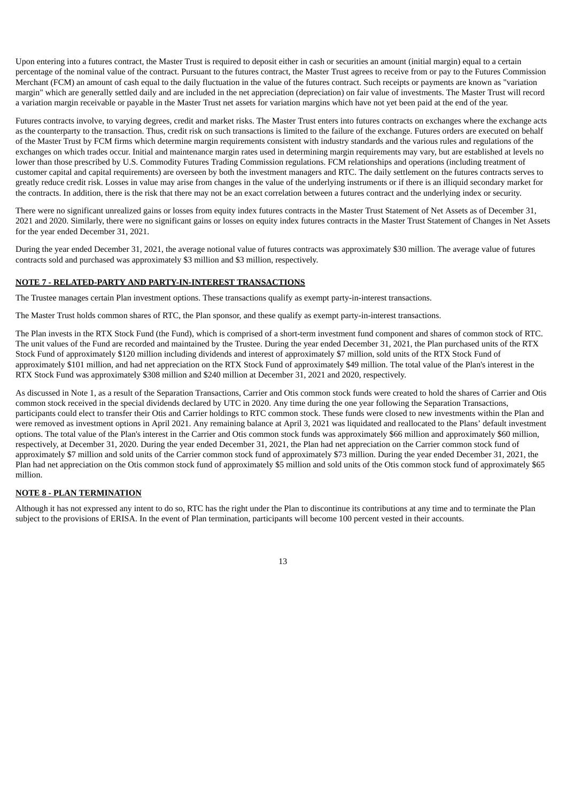Upon entering into a futures contract, the Master Trust is required to deposit either in cash or securities an amount (initial margin) equal to a certain percentage of the nominal value of the contract. Pursuant to the futures contract, the Master Trust agrees to receive from or pay to the Futures Commission Merchant (FCM) an amount of cash equal to the daily fluctuation in the value of the futures contract. Such receipts or payments are known as "variation margin" which are generally settled daily and are included in the net appreciation (depreciation) on fair value of investments. The Master Trust will record a variation margin receivable or payable in the Master Trust net assets for variation margins which have not yet been paid at the end of the year.

Futures contracts involve, to varying degrees, credit and market risks. The Master Trust enters into futures contracts on exchanges where the exchange acts as the counterparty to the transaction. Thus, credit risk on such transactions is limited to the failure of the exchange. Futures orders are executed on behalf of the Master Trust by FCM firms which determine margin requirements consistent with industry standards and the various rules and regulations of the exchanges on which trades occur. Initial and maintenance margin rates used in determining margin requirements may vary, but are established at levels no lower than those prescribed by U.S. Commodity Futures Trading Commission regulations. FCM relationships and operations (including treatment of customer capital and capital requirements) are overseen by both the investment managers and RTC. The daily settlement on the futures contracts serves to greatly reduce credit risk. Losses in value may arise from changes in the value of the underlying instruments or if there is an illiquid secondary market for the contracts. In addition, there is the risk that there may not be an exact correlation between a futures contract and the underlying index or security.

There were no significant unrealized gains or losses from equity index futures contracts in the Master Trust Statement of Net Assets as of December 31, 2021 and 2020. Similarly, there were no significant gains or losses on equity index futures contracts in the Master Trust Statement of Changes in Net Assets for the year ended December 31, 2021.

During the year ended December 31, 2021, the average notional value of futures contracts was approximately \$30 million. The average value of futures contracts sold and purchased was approximately \$3 million and \$3 million, respectively.

### **NOTE 7 - RELATED-PARTY AND PARTY-IN-INTEREST TRANSACTIONS**

The Trustee manages certain Plan investment options. These transactions qualify as exempt party-in-interest transactions.

The Master Trust holds common shares of RTC, the Plan sponsor, and these qualify as exempt party-in-interest transactions.

The Plan invests in the RTX Stock Fund (the Fund), which is comprised of a short-term investment fund component and shares of common stock of RTC. The unit values of the Fund are recorded and maintained by the Trustee. During the year ended December 31, 2021, the Plan purchased units of the RTX Stock Fund of approximately \$120 million including dividends and interest of approximately \$7 million, sold units of the RTX Stock Fund of approximately \$101 million, and had net appreciation on the RTX Stock Fund of approximately \$49 million. The total value of the Plan's interest in the RTX Stock Fund was approximately \$308 million and \$240 million at December 31, 2021 and 2020, respectively.

As discussed in Note 1, as a result of the Separation Transactions, Carrier and Otis common stock funds were created to hold the shares of Carrier and Otis common stock received in the special dividends declared by UTC in 2020. Any time during the one year following the Separation Transactions, participants could elect to transfer their Otis and Carrier holdings to RTC common stock. These funds were closed to new investments within the Plan and were removed as investment options in April 2021. Any remaining balance at April 3, 2021 was liquidated and reallocated to the Plans' default investment options. The total value of the Plan's interest in the Carrier and Otis common stock funds was approximately \$66 million and approximately \$60 million, respectively, at December 31, 2020. During the year ended December 31, 2021, the Plan had net appreciation on the Carrier common stock fund of approximately \$7 million and sold units of the Carrier common stock fund of approximately \$73 million. During the year ended December 31, 2021, the Plan had net appreciation on the Otis common stock fund of approximately \$5 million and sold units of the Otis common stock fund of approximately \$65 million.

### **NOTE 8 - PLAN TERMINATION**

Although it has not expressed any intent to do so, RTC has the right under the Plan to discontinue its contributions at any time and to terminate the Plan subject to the provisions of ERISA. In the event of Plan termination, participants will become 100 percent vested in their accounts.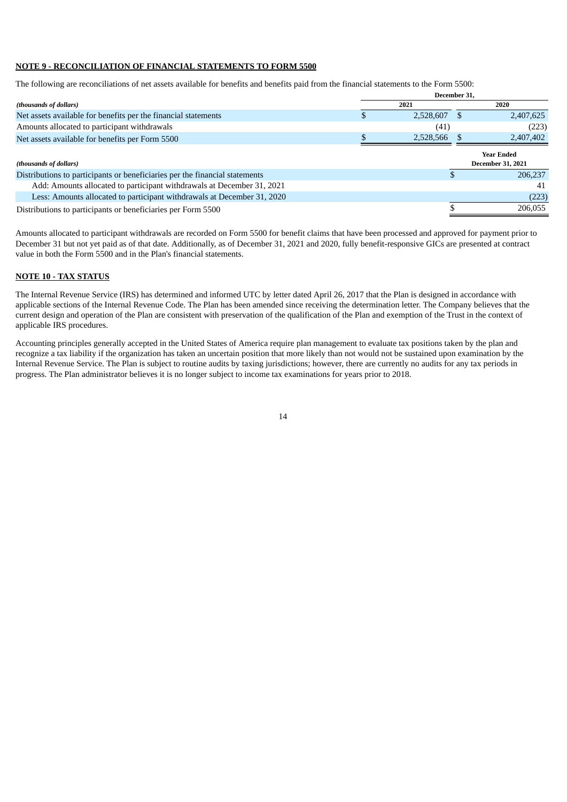### **NOTE 9 - RECONCILIATION OF FINANCIAL STATEMENTS TO FORM 5500**

The following are reconciliations of net assets available for benefits and benefits paid from the financial statements to the Form 5500:

|                                                                             | December 31. |  |                                               |  |  |  |  |  |  |  |
|-----------------------------------------------------------------------------|--------------|--|-----------------------------------------------|--|--|--|--|--|--|--|
| (thousands of dollars)                                                      | 2021         |  | 2020                                          |  |  |  |  |  |  |  |
| Net assets available for benefits per the financial statements              | 2,528,607    |  | 2,407,625                                     |  |  |  |  |  |  |  |
| Amounts allocated to participant withdrawals                                | (41)         |  | (223)                                         |  |  |  |  |  |  |  |
| Net assets available for benefits per Form 5500                             | 2,528,566    |  | 2,407,402                                     |  |  |  |  |  |  |  |
| (thousands of dollars)                                                      |              |  | <b>Year Ended</b><br><b>December 31, 2021</b> |  |  |  |  |  |  |  |
| Distributions to participants or beneficiaries per the financial statements |              |  | 206.237                                       |  |  |  |  |  |  |  |
| Add: Amounts allocated to participant withdrawals at December 31, 2021      |              |  | 41                                            |  |  |  |  |  |  |  |
| Less: Amounts allocated to participant withdrawals at December 31, 2020     |              |  | (223)                                         |  |  |  |  |  |  |  |
| Distributions to participants or beneficiaries per Form 5500                |              |  | 206,055                                       |  |  |  |  |  |  |  |

Amounts allocated to participant withdrawals are recorded on Form 5500 for benefit claims that have been processed and approved for payment prior to December 31 but not yet paid as of that date. Additionally, as of December 31, 2021 and 2020, fully benefit-responsive GICs are presented at contract value in both the Form 5500 and in the Plan's financial statements.

### **NOTE 10 - TAX STATUS**

The Internal Revenue Service (IRS) has determined and informed UTC by letter dated April 26, 2017 that the Plan is designed in accordance with applicable sections of the Internal Revenue Code. The Plan has been amended since receiving the determination letter. The Company believes that the current design and operation of the Plan are consistent with preservation of the qualification of the Plan and exemption of the Trust in the context of applicable IRS procedures.

<span id="page-13-0"></span>Accounting principles generally accepted in the United States of America require plan management to evaluate tax positions taken by the plan and recognize a tax liability if the organization has taken an uncertain position that more likely than not would not be sustained upon examination by the Internal Revenue Service. The Plan is subject to routine audits by taxing jurisdictions; however, there are currently no audits for any tax periods in progress. The Plan administrator believes it is no longer subject to income tax examinations for years prior to 2018.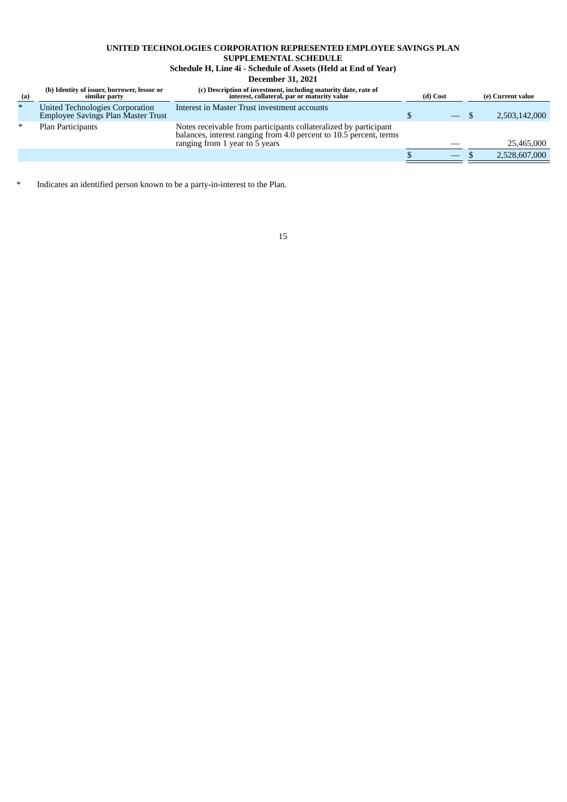## **UNITED TECHNOLOGIES CORPORATION REPRESENTED EMPLOYEE SAVINGS PLAN**

### **SUPPLEMENTAL SCHEDULE**

# **Schedule H, Line 4i - Schedule of Assets (Held at End of Year)**

**December 31, 2021**

| (a)    | (b) Identity of issuer, borrower, lessor or<br>similar party                 | (c) Description of investment, including maturity date, rate of<br>interest, collateral, par or maturity value                                                           | (d) Cost                 | (e) Current value |
|--------|------------------------------------------------------------------------------|--------------------------------------------------------------------------------------------------------------------------------------------------------------------------|--------------------------|-------------------|
| $\ast$ | United Technologies Corporation<br><b>Employee Savings Plan Master Trust</b> | Interest in Master Trust investment accounts                                                                                                                             | $\overline{\phantom{0}}$ | 2,503,142,000     |
| ∗      | Plan Participants                                                            | Notes receivable from participants collateralized by participant<br>balances, interest ranging from 4.0 percent to 10.5 percent, terms<br>ranging from 1 year to 5 years |                          | 25,465,000        |
|        |                                                                              |                                                                                                                                                                          |                          | 2,528,607,000     |

<span id="page-14-0"></span>\* Indicates an identified person known to be a party-in-interest to the Plan.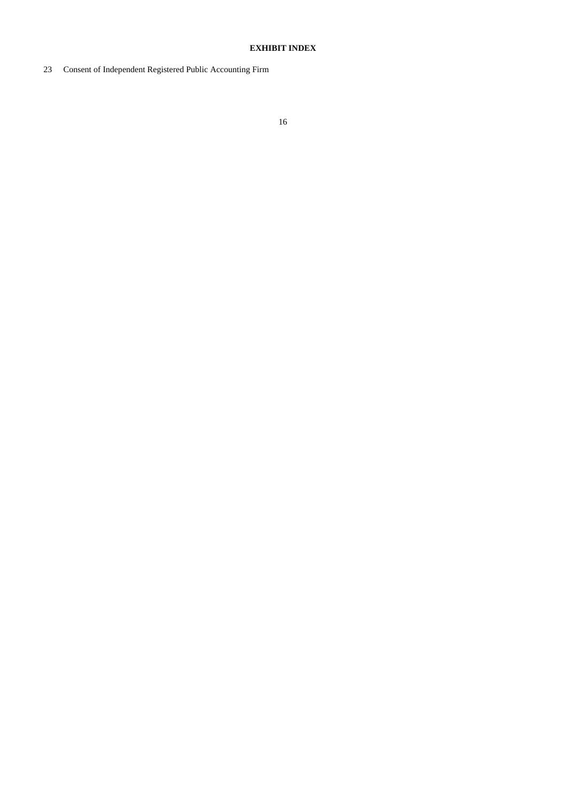### **EXHIBIT INDEX**

<span id="page-15-0"></span>Consent of Independent Registered Public Accounting Firm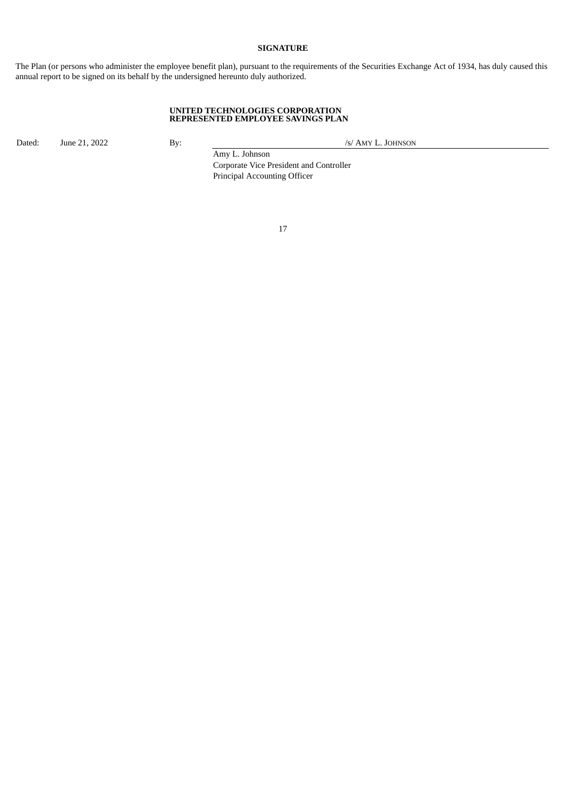### **SIGNATURE**

The Plan (or persons who administer the employee benefit plan), pursuant to the requirements of the Securities Exchange Act of 1934, has duly caused this annual report to be signed on its behalf by the undersigned hereunto duly authorized.

#### **UNITED TECHNOLOGIES CORPORATION REPRESENTED EMPLOYEE SAVINGS PLAN**

Dated: June 21, 2022 By: By: /s/ AMY L. JOHNSON

Amy L. Johnson Corporate Vice President and Controller Principal Accounting Officer